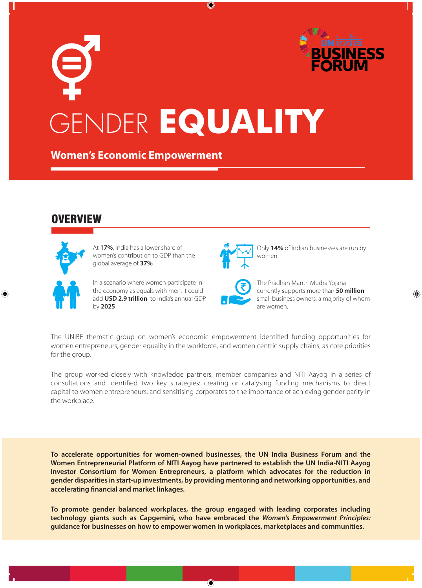# GENDER **EQUALITY BUSINESS FORUM UN** India

 $\bigcirc$ 

**Women's Economic Empowerment**

### **/ERVIEW**



⊕

At **17%**, India has a lower share of women's contribution to GDP than the global average of **37%**

In a scenario where women participate in the economy as equals with men, it could add **USD 2.9 trillion** to India's annual GDP by **2025**



Only **14%** of Indian businesses are run by women

The Pradhan Mantri Mudra Yojana currently supports more than **50 million** small business owners, a majority of whom are women.

⊕

The UNIBF thematic group on women's economic empowerment identified funding opportunities for women entrepreneurs, gender equality in the workforce, and women centric supply chains, as core priorities for the group.

The group worked closely with knowledge partners, member companies and NITI Aayog in a series of consultations and identified two key strategies: creating or catalysing funding mechanisms to direct capital to women entrepreneurs, and sensitising corporates to the importance of achieving gender parity in the workplace.

**To accelerate opportunities for women-owned businesses, the UN India Business Forum and the Women Entrepreneurial Platform of NITI Aayog have partnered to establish the UN India-NITI Aayog Investor Consortium for Women Entrepreneurs, a platform which advocates for the reduction in gender disparities in start-up investments, by providing mentoring and networking opportunities, and accelerating financial and market linkages.** 

**To promote gender balanced workplaces, the group engaged with leading corporates including technology giants such as Capgemini, who have embraced the** *Women's Empowerment Principles:*  **guidance for businesses on how to empower women in workplaces, marketplaces and communities.** 

 $\bigcirc$